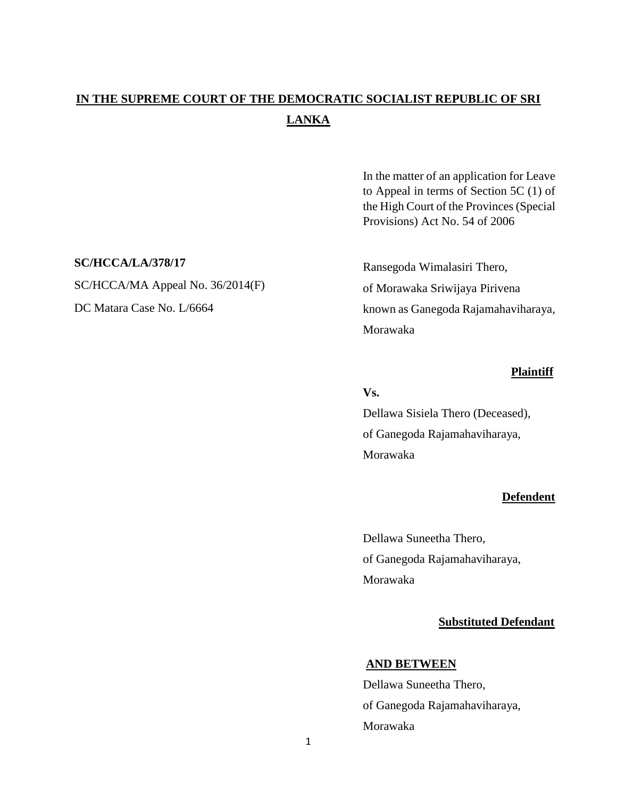# **IN THE SUPREME COURT OF THE DEMOCRATIC SOCIALIST REPUBLIC OF SRI LANKA**

In the matter of an application for Leave to Appeal in terms of Section 5C (1) of the High Court of the Provinces (Special Provisions) Act No. 54 of 2006

Ransegoda Wimalasiri Thero, of Morawaka Sriwijaya Pirivena known as Ganegoda Rajamahaviharaya, Morawaka

#### **Plaintiff**

#### **Vs.**

Dellawa Sisiela Thero (Deceased), of Ganegoda Rajamahaviharaya, Morawaka

## **Defendent**

Dellawa Suneetha Thero, of Ganegoda Rajamahaviharaya, Morawaka

## **Substituted Defendant**

# **AND BETWEEN**

Dellawa Suneetha Thero, of Ganegoda Rajamahaviharaya, Morawaka

#### **SC/HCCA/LA/378/17**

SC/HCCA/MA Appeal No. 36/2014(F) DC Matara Case No. L/6664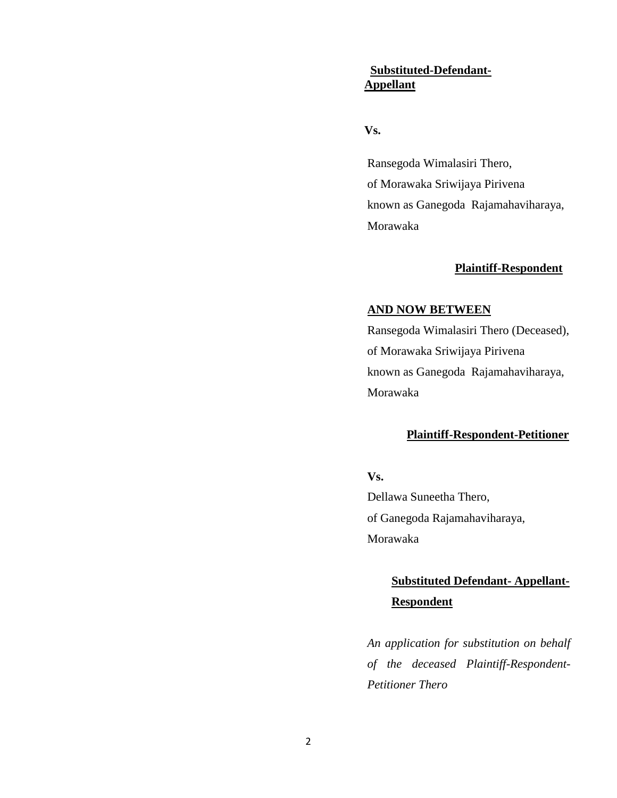# **Substituted-Defendant-Appellant**

## **Vs.**

Ransegoda Wimalasiri Thero, of Morawaka Sriwijaya Pirivena known as Ganegoda Rajamahaviharaya, Morawaka

# **Plaintiff-Respondent**

#### **AND NOW BETWEEN**

Ransegoda Wimalasiri Thero (Deceased), of Morawaka Sriwijaya Pirivena known as Ganegoda Rajamahaviharaya, Morawaka

# **Plaintiff-Respondent-Petitioner**

# **Vs.**

Dellawa Suneetha Thero, of Ganegoda Rajamahaviharaya, Morawaka

# **Substituted Defendant- Appellant- Respondent**

*An application for substitution on behalf of the deceased Plaintiff-Respondent-Petitioner Thero*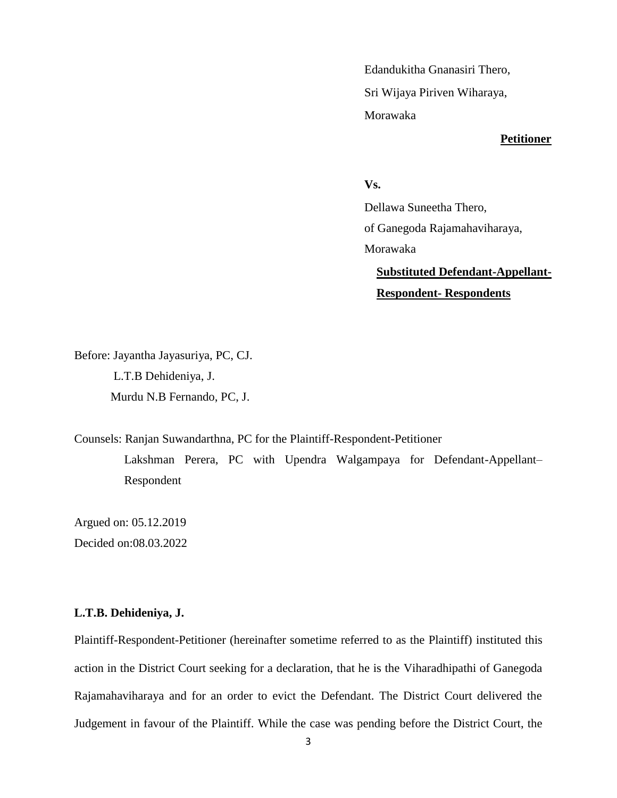Edandukitha Gnanasiri Thero, Sri Wijaya Piriven Wiharaya, Morawaka

## **Petitioner**

# **Vs.**

Dellawa Suneetha Thero, of Ganegoda Rajamahaviharaya, Morawaka

**Substituted Defendant-Appellant-Respondent- Respondents** 

Before: Jayantha Jayasuriya, PC, CJ. L.T.B Dehideniya, J. Murdu N.B Fernando, PC, J.

Counsels: Ranjan Suwandarthna, PC for the Plaintiff-Respondent-Petitioner Lakshman Perera, PC with Upendra Walgampaya for Defendant-Appellant– Respondent

Argued on: 05.12.2019 Decided on:08.03.2022

## **L.T.B. Dehideniya, J.**

Plaintiff-Respondent-Petitioner (hereinafter sometime referred to as the Plaintiff) instituted this action in the District Court seeking for a declaration, that he is the Viharadhipathi of Ganegoda Rajamahaviharaya and for an order to evict the Defendant. The District Court delivered the Judgement in favour of the Plaintiff. While the case was pending before the District Court, the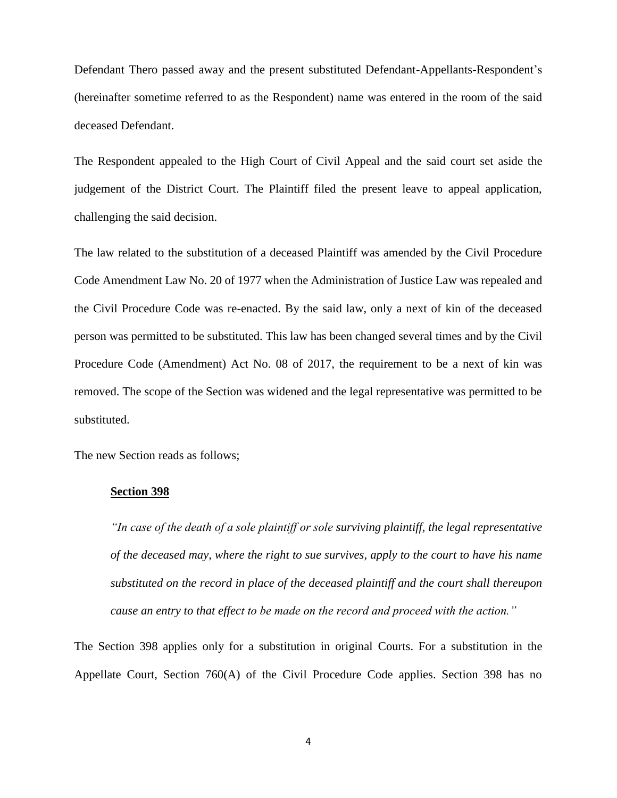Defendant Thero passed away and the present substituted Defendant-Appellants-Respondent's (hereinafter sometime referred to as the Respondent) name was entered in the room of the said deceased Defendant.

The Respondent appealed to the High Court of Civil Appeal and the said court set aside the judgement of the District Court. The Plaintiff filed the present leave to appeal application, challenging the said decision.

The law related to the substitution of a deceased Plaintiff was amended by the Civil Procedure Code Amendment Law No. 20 of 1977 when the Administration of Justice Law was repealed and the Civil Procedure Code was re-enacted. By the said law, only a next of kin of the deceased person was permitted to be substituted. This law has been changed several times and by the Civil Procedure Code (Amendment) Act No. 08 of 2017, the requirement to be a next of kin was removed. The scope of the Section was widened and the legal representative was permitted to be substituted.

The new Section reads as follows;

#### **Section 398**

*"In case of the death of a sole plaintiff or sole surviving plaintiff, the legal representative of the deceased may, where the right to sue survives, apply to the court to have his name substituted on the record in place of the deceased plaintiff and the court shall thereupon cause an entry to that effect to be made on the record and proceed with the action."*

The Section 398 applies only for a substitution in original Courts. For a substitution in the Appellate Court, Section 760(A) of the Civil Procedure Code applies. Section 398 has no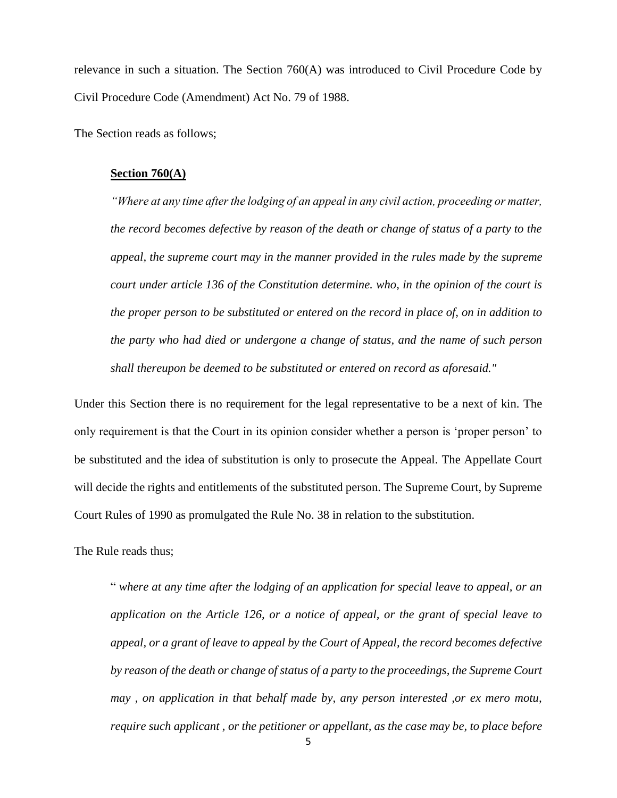relevance in such a situation. The Section  $760(A)$  was introduced to Civil Procedure Code by Civil Procedure Code (Amendment) Act No. 79 of 1988.

The Section reads as follows;

#### **Section 760(A)**

*"Where at any time after the lodging of an appeal in any civil action, proceeding or matter, the record becomes defective by reason of the death or change of status of a party to the appeal, the supreme court may in the manner provided in the rules made by the supreme court under article 136 of the Constitution determine. who, in the opinion of the court is the proper person to be substituted or entered on the record in place of, on in addition to the party who had died or undergone a change of status, and the name of such person shall thereupon be deemed to be substituted or entered on record as aforesaid."*

Under this Section there is no requirement for the legal representative to be a next of kin. The only requirement is that the Court in its opinion consider whether a person is 'proper person' to be substituted and the idea of substitution is only to prosecute the Appeal. The Appellate Court will decide the rights and entitlements of the substituted person. The Supreme Court, by Supreme Court Rules of 1990 as promulgated the Rule No. 38 in relation to the substitution.

The Rule reads thus;

" *where at any time after the lodging of an application for special leave to appeal, or an application on the Article 126, or a notice of appeal, or the grant of special leave to appeal, or a grant of leave to appeal by the Court of Appeal, the record becomes defective by reason of the death or change of status of a party to the proceedings, the Supreme Court may , on application in that behalf made by, any person interested ,or ex mero motu, require such applicant , or the petitioner or appellant, as the case may be, to place before*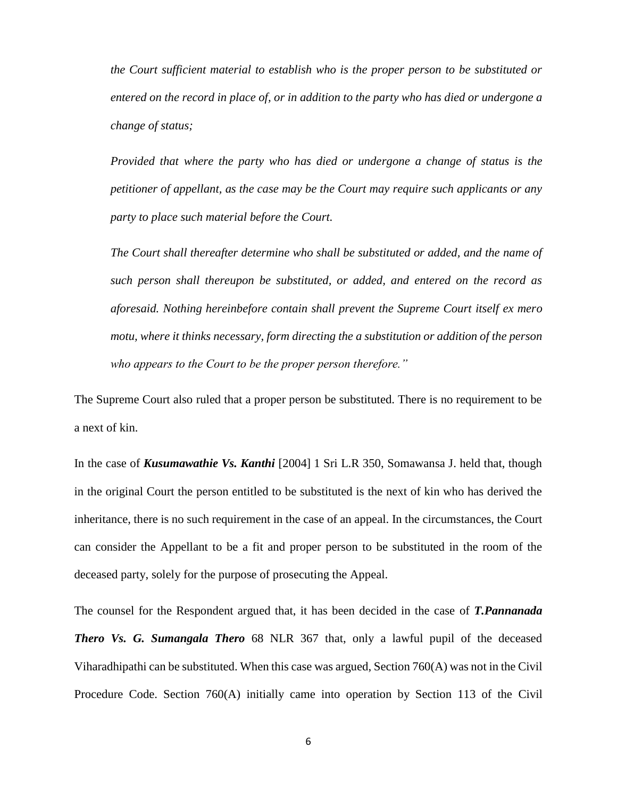*the Court sufficient material to establish who is the proper person to be substituted or entered on the record in place of, or in addition to the party who has died or undergone a change of status;* 

*Provided that where the party who has died or undergone a change of status is the petitioner of appellant, as the case may be the Court may require such applicants or any party to place such material before the Court.*

*The Court shall thereafter determine who shall be substituted or added, and the name of such person shall thereupon be substituted, or added, and entered on the record as aforesaid. Nothing hereinbefore contain shall prevent the Supreme Court itself ex mero motu, where it thinks necessary, form directing the a substitution or addition of the person who appears to the Court to be the proper person therefore."*

The Supreme Court also ruled that a proper person be substituted. There is no requirement to be a next of kin.

In the case of *Kusumawathie Vs. Kanthi* [2004] 1 Sri L.R 350, Somawansa J. held that, though in the original Court the person entitled to be substituted is the next of kin who has derived the inheritance, there is no such requirement in the case of an appeal. In the circumstances, the Court can consider the Appellant to be a fit and proper person to be substituted in the room of the deceased party, solely for the purpose of prosecuting the Appeal.

The counsel for the Respondent argued that, it has been decided in the case of *T.Pannanada Thero Vs. G. Sumangala Thero* 68 NLR 367 that, only a lawful pupil of the deceased Viharadhipathi can be substituted. When this case was argued, Section 760(A) was not in the Civil Procedure Code. Section 760(A) initially came into operation by Section 113 of the Civil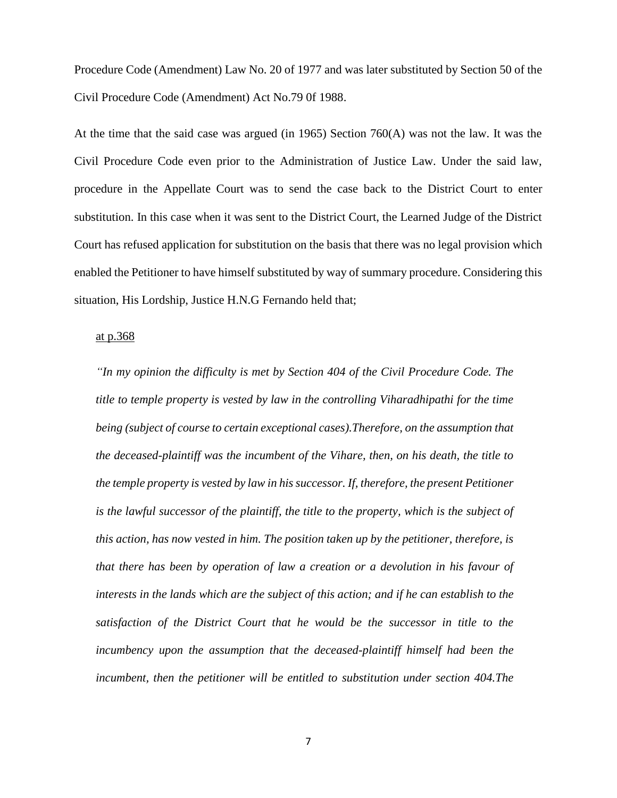Procedure Code (Amendment) Law No. 20 of 1977 and was later substituted by Section 50 of the Civil Procedure Code (Amendment) Act No.79 0f 1988.

At the time that the said case was argued (in 1965) Section 760(A) was not the law. It was the Civil Procedure Code even prior to the Administration of Justice Law. Under the said law, procedure in the Appellate Court was to send the case back to the District Court to enter substitution. In this case when it was sent to the District Court, the Learned Judge of the District Court has refused application for substitution on the basis that there was no legal provision which enabled the Petitioner to have himself substituted by way of summary procedure. Considering this situation, His Lordship, Justice H.N.G Fernando held that;

#### at p.368

*"In my opinion the difficulty is met by Section 404 of the Civil Procedure Code. The title to temple property is vested by law in the controlling Viharadhipathi for the time being (subject of course to certain exceptional cases).Therefore, on the assumption that the deceased-plaintiff was the incumbent of the Vihare, then, on his death, the title to the temple property is vested by law in his successor. If, therefore, the present Petitioner is the lawful successor of the plaintiff, the title to the property, which is the subject of this action, has now vested in him. The position taken up by the petitioner, therefore, is that there has been by operation of law a creation or a devolution in his favour of interests in the lands which are the subject of this action; and if he can establish to the satisfaction of the District Court that he would be the successor in title to the incumbency upon the assumption that the deceased-plaintiff himself had been the incumbent, then the petitioner will be entitled to substitution under section 404.The*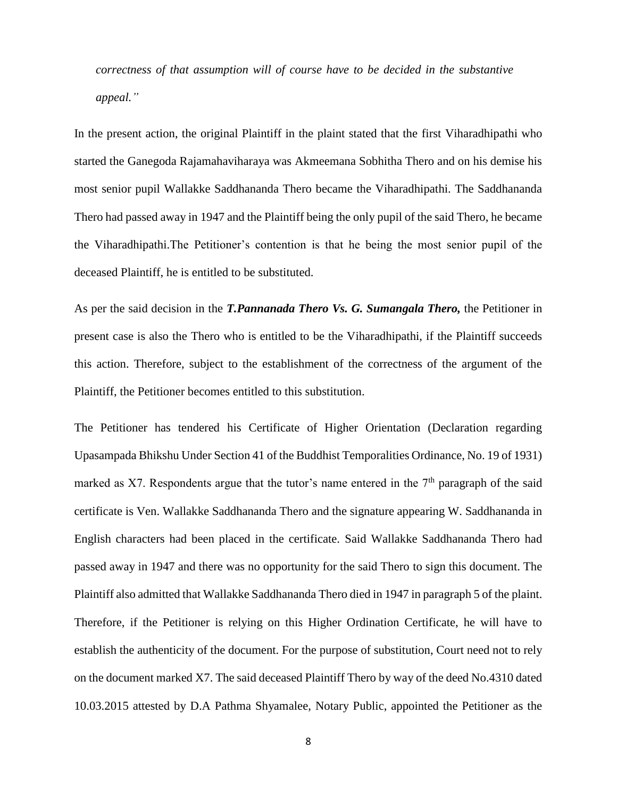*correctness of that assumption will of course have to be decided in the substantive appeal."*

In the present action, the original Plaintiff in the plaint stated that the first Viharadhipathi who started the Ganegoda Rajamahaviharaya was Akmeemana Sobhitha Thero and on his demise his most senior pupil Wallakke Saddhananda Thero became the Viharadhipathi. The Saddhananda Thero had passed away in 1947 and the Plaintiff being the only pupil of the said Thero, he became the Viharadhipathi.The Petitioner's contention is that he being the most senior pupil of the deceased Plaintiff, he is entitled to be substituted.

As per the said decision in the *T.Pannanada Thero Vs. G. Sumangala Thero,* the Petitioner in present case is also the Thero who is entitled to be the Viharadhipathi, if the Plaintiff succeeds this action. Therefore, subject to the establishment of the correctness of the argument of the Plaintiff, the Petitioner becomes entitled to this substitution.

The Petitioner has tendered his Certificate of Higher Orientation (Declaration regarding Upasampada Bhikshu Under Section 41 of the Buddhist Temporalities Ordinance, No. 19 of 1931) marked as X7. Respondents argue that the tutor's name entered in the  $7<sup>th</sup>$  paragraph of the said certificate is Ven. Wallakke Saddhananda Thero and the signature appearing W. Saddhananda in English characters had been placed in the certificate. Said Wallakke Saddhananda Thero had passed away in 1947 and there was no opportunity for the said Thero to sign this document. The Plaintiff also admitted that Wallakke Saddhananda Thero died in 1947 in paragraph 5 of the plaint. Therefore, if the Petitioner is relying on this Higher Ordination Certificate, he will have to establish the authenticity of the document. For the purpose of substitution, Court need not to rely on the document marked X7. The said deceased Plaintiff Thero by way of the deed No.4310 dated 10.03.2015 attested by D.A Pathma Shyamalee, Notary Public, appointed the Petitioner as the